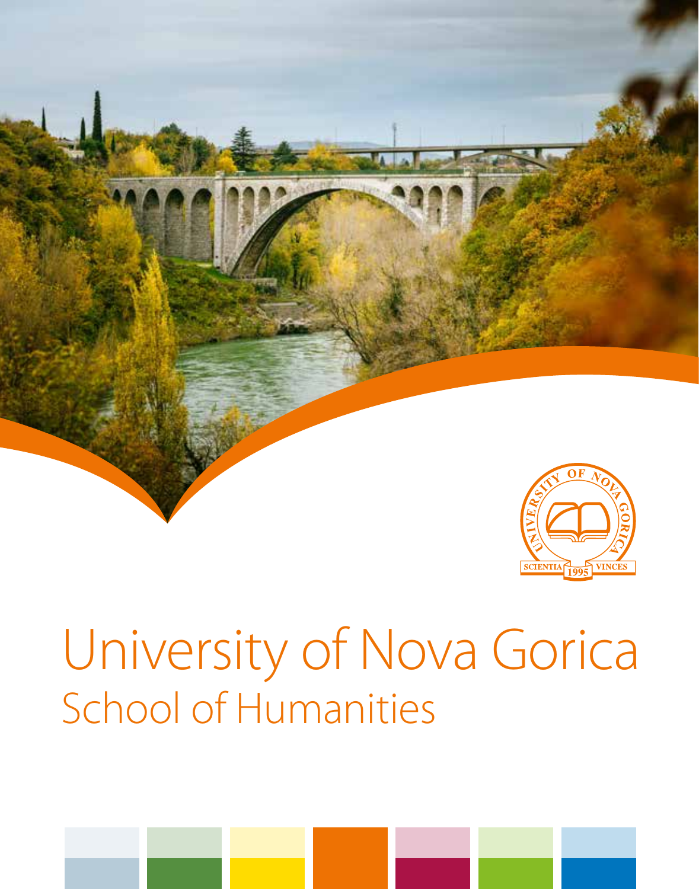



# University of Nova Gorica School of Humanities

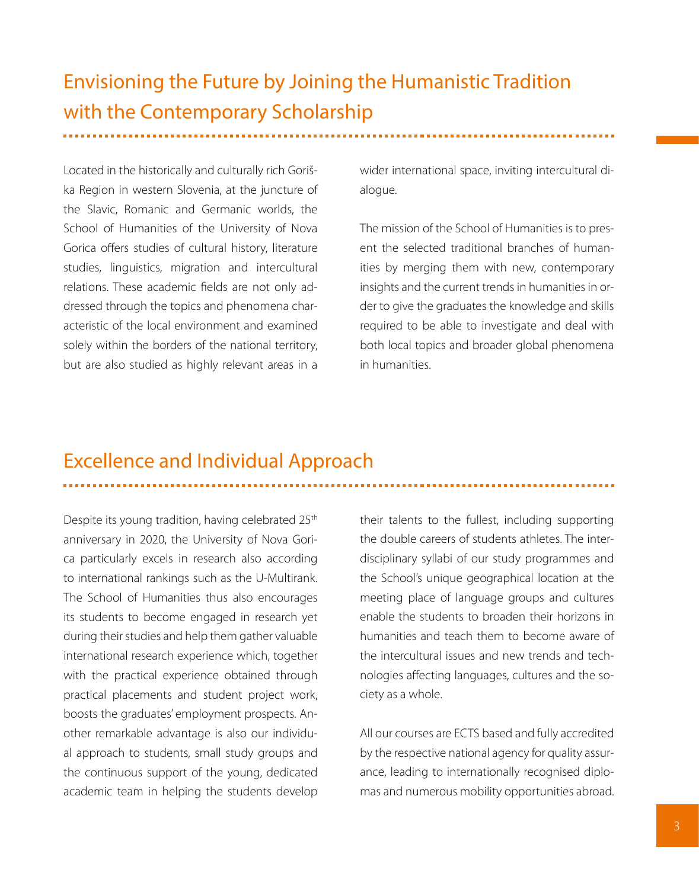# Envisioning the Future by Joining the Humanistic Tradition with the Contemporary Scholarship

Located in the historically and culturally rich Goriška Region in western Slovenia, at the juncture of the Slavic, Romanic and Germanic worlds, the School of Humanities of the University of Nova Gorica offers studies of cultural history, literature studies, linguistics, migration and intercultural relations. These academic fields are not only addressed through the topics and phenomena characteristic of the local environment and examined solely within the borders of the national territory, but are also studied as highly relevant areas in a

wider international space, inviting intercultural dialogue.

The mission of the School of Humanities is to present the selected traditional branches of humanities by merging them with new, contemporary insights and the current trends in humanities in order to give the graduates the knowledge and skills required to be able to investigate and deal with both local topics and broader global phenomena in humanities.

# Excellence and Individual Approach

Despite its young tradition, having celebrated 25<sup>th</sup> anniversary in 2020, the University of Nova Gorica particularly excels in research also according to international rankings such as the U-Multirank. The School of Humanities thus also encourages its students to become engaged in research yet during their studies and help them gather valuable international research experience which, together with the practical experience obtained through practical placements and student project work, boosts the graduates' employment prospects. Another remarkable advantage is also our individual approach to students, small study groups and the continuous support of the young, dedicated academic team in helping the students develop their talents to the fullest, including supporting the double careers of students athletes. The interdisciplinary syllabi of our study programmes and the School's unique geographical location at the meeting place of language groups and cultures enable the students to broaden their horizons in humanities and teach them to become aware of the intercultural issues and new trends and technologies affecting languages, cultures and the society as a whole.

All our courses are ECTS based and fully accredited by the respective national agency for quality assurance, leading to internationally recognised diplomas and numerous mobility opportunities abroad.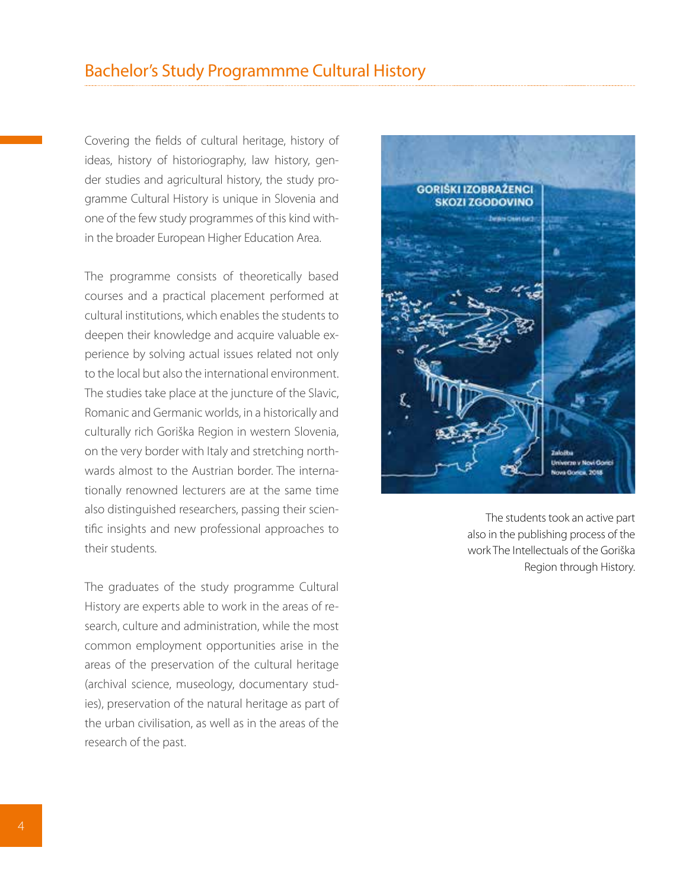Covering the fields of cultural heritage, history of ideas, history of historiography, law history, gender studies and agricultural history, the study programme Cultural History is unique in Slovenia and one of the few study programmes of this kind within the broader European Higher Education Area.

The programme consists of theoretically based courses and a practical placement performed at cultural institutions, which enables the students to deepen their knowledge and acquire valuable experience by solving actual issues related not only to the local but also the international environment. The studies take place at the juncture of the Slavic, Romanic and Germanic worlds, in a historically and culturally rich Goriška Region in western Slovenia, on the very border with Italy and stretching northwards almost to the Austrian border. The internationally renowned lecturers are at the same time also distinguished researchers, passing their scientific insights and new professional approaches to their students.

The graduates of the study programme Cultural History are experts able to work in the areas of research, culture and administration, while the most common employment opportunities arise in the areas of the preservation of the cultural heritage (archival science, museology, documentary studies), preservation of the natural heritage as part of the urban civilisation, as well as in the areas of the research of the past.



The students took an active part also in the publishing process of the work The Intellectuals of the Goriška Region through History.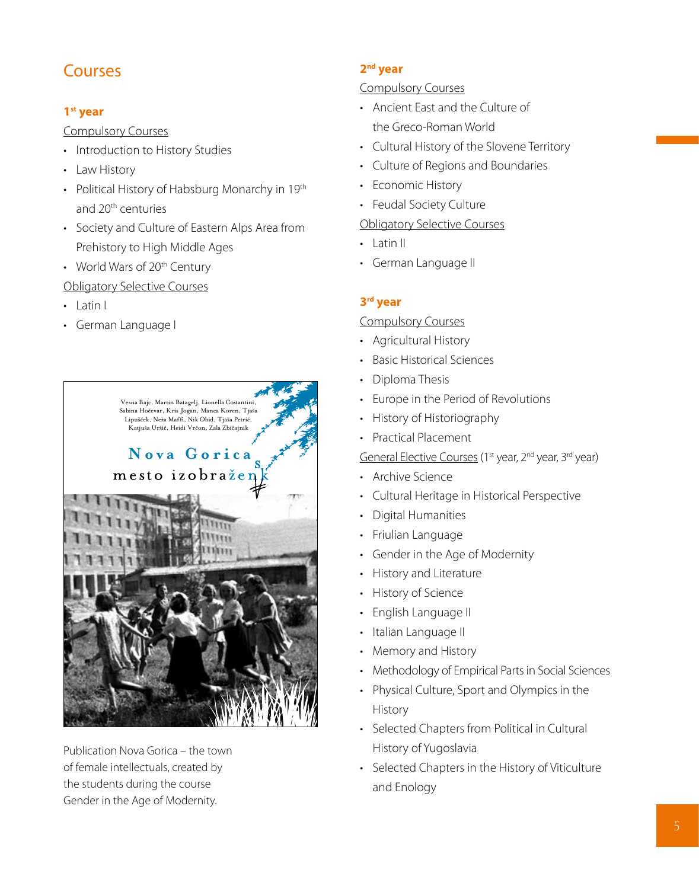# Courses

## **1st year**

Compulsory Courses

- Introduction to History Studies
- • Law History
- Political History of Habsburg Monarchy in 19th and 20th centuries
- Society and Culture of Eastern Alps Area from Prehistory to High Middle Ages
- World Wars of 20<sup>th</sup> Century

# Obligatory Selective Courses

- • Latin I
- • German Language I



Publication Nova Gorica – the town of female intellectuals, created by the students during the course Gender in the Age of Modernity.

## **2nd year**

## Compulsory Courses

- • Ancient East and the Culture of the Greco-Roman World
- • Cultural History of the Slovene Territory
- • Culture of Regions and Boundaries
- Economic History
- Feudal Society Culture

## Obligatory Selective Courses

- • Latin II
- • German Language II

# **3rd year**

# Compulsory Courses

- • Agricultural History
- • Basic Historical Sciences
- Diploma Thesis
- • Europe in the Period of Revolutions
- • History of Historiography
- • Practical Placement

General Elective Courses (1<sup>st</sup> year, 2<sup>nd</sup> year, 3<sup>rd</sup> year)

- • Archive Science
- • Cultural Heritage in Historical Perspective
- **Digital Humanities**
- • Friulian Language
- • Gender in the Age of Modernity
- • History and Literature
- **History of Science**
- • English Language II
- Italian Language II
- Memory and History
- Methodology of Empirical Parts in Social Sciences
- • Physical Culture, Sport and Olympics in the History
- Selected Chapters from Political in Cultural History of Yugoslavia
- • Selected Chapters in the History of Viticulture and Enology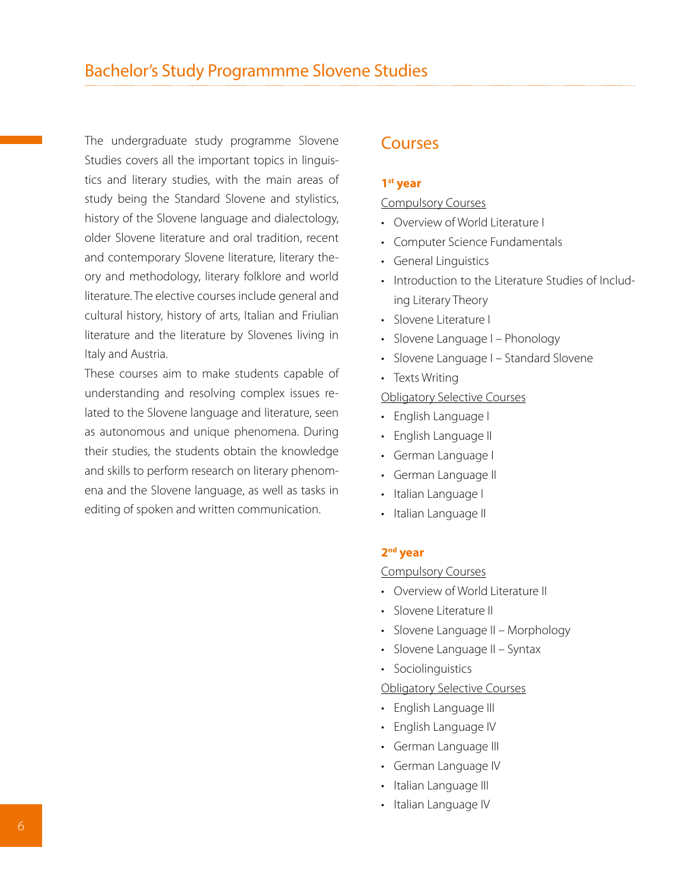The undergraduate study programme Slovene Studies covers all the important topics in linguistics and literary studies, with the main areas of study being the Standard Slovene and stylistics, history of the Slovene language and dialectology, older Slovene literature and oral tradition, recent and contemporary Slovene literature, literary theory and methodology, literary folklore and world literature. The elective courses include general and cultural history, history of arts, Italian and Friulian literature and the literature by Slovenes living in Italy and Austria.

These courses aim to make students capable of understanding and resolving complex issues related to the Slovene language and literature, seen as autonomous and unique phenomena. During their studies, the students obtain the knowledge and skills to perform research on literary phenomena and the Slovene language, as well as tasks in editing of spoken and written communication.

# Courses

#### **1st year**

#### Compulsory Courses

- Overview of World Literature L
- Computer Science Fundamentals
- • General Linguistics
- Introduction to the Literature Studies of Including Literary Theory
- • Slovene Literature I
- Slovene Language I Phonology
- Slovene Language I Standard Slovene
- Texts Writing

#### Obligatory Selective Courses

- • English Language I
- English Language II
- • German Language I
- • German Language II
- Italian Language I
- Italian Language II

#### **2nd year**

#### Compulsory Courses

- Overview of World Literature II
- Slovene Literature II
- Slovene Language II Morphology
- Slovene Language II Syntax
- Sociolinguistics

#### Obligatory Selective Courses

- English Language III
- English Language IV
- German Language III
- • German Language IV
- Italian Language III
- Italian Language IV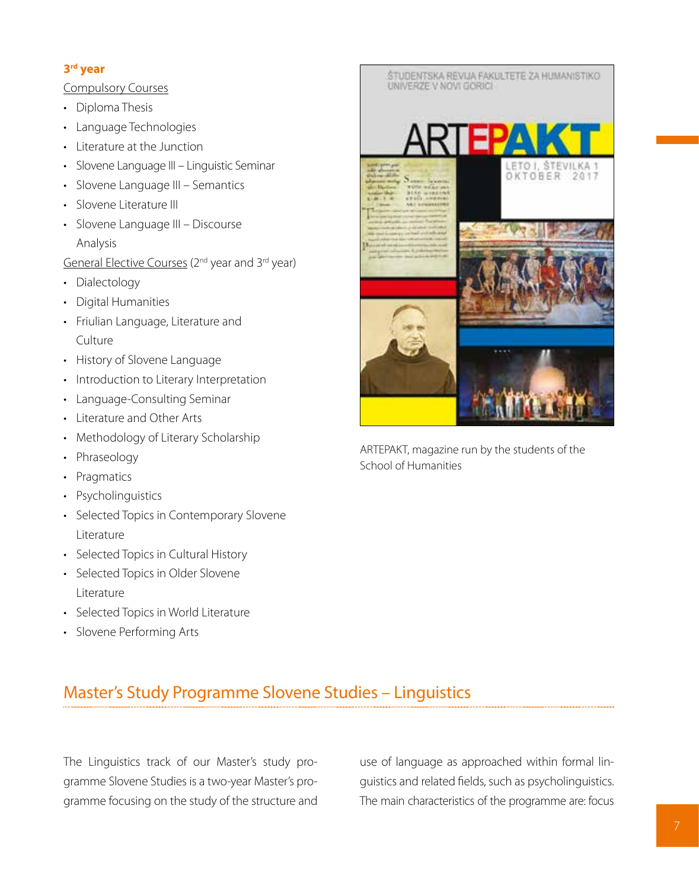# **3rd year**

Compulsory Courses

- Diploma Thesis
- Language Technologies
- Literature at the Junction
- Slovene Language III Linguistic Seminar
- Slovene Language III Semantics
- Slovene Literature III
- Slovene Language III Discourse Analysis

General Elective Courses (2nd year and 3rd year)

- Dialectology
- Digital Humanities
- • Friulian Language, Literature and Culture
- • History of Slovene Language
- Introduction to Literary Interpretation
- Language-Consulting Seminar
- • Literature and Other Arts
- • Methodology of Literary Scholarship
- Phraseology
- Pragmatics
- Psycholinguistics
- Selected Topics in Contemporary Slovene Literature
- Selected Topics in Cultural History
- • Selected Topics in Older Slovene Literature
- • Selected Topics in World Literature
- • Slovene Performing Arts



ARTEPAKT, magazine run by the students of the School of Humanities

# Master's Study Programme Slovene Studies – Linguistics

The Linguistics track of our Master's study programme Slovene Studies is a two-year Master's programme focusing on the study of the structure and use of language as approached within formal linguistics and related fields, such as psycholinguistics. The main characteristics of the programme are: focus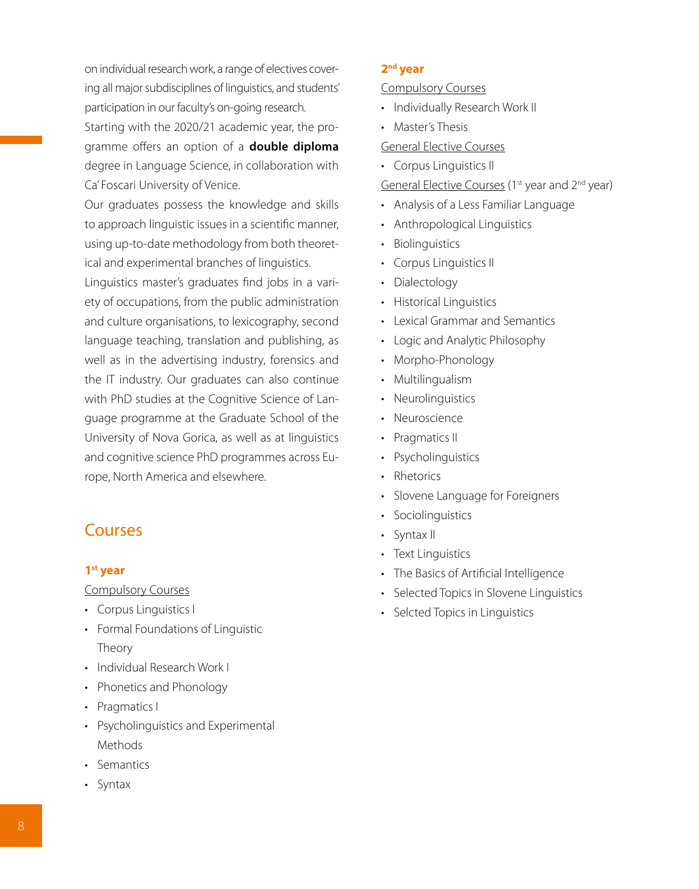on individual research work, a range of electives covering all major subdisciplines of linguistics, and students' participation in our faculty's on-going research. Starting with the 2020/21 academic year, the programme offers an option of a **double diploma**

degree in Language Science, in collaboration with Ca' Foscari University of Venice.

Our graduates possess the knowledge and skills to approach linguistic issues in a scientific manner, using up-to-date methodology from both theoretical and experimental branches of linguistics.

Linguistics master's graduates find jobs in a variety of occupations, from the public administration and culture organisations, to lexicography, second language teaching, translation and publishing, as well as in the advertising industry, forensics and the IT industry. Our graduates can also continue with PhD studies at the Cognitive Science of Language programme at the Graduate School of the University of Nova Gorica, as well as at linguistics and cognitive science PhD programmes across Europe, North America and elsewhere.

# Courses

### **1st year**

Compulsory Courses

- • Corpus Linguistics I
- • Formal Foundations of Linguistic Theory
- • Individual Research Work I
- • Phonetics and Phonology
- Pragmatics I
- • Psycholinguistics and Experimental Methods
- • Semantics
- • Syntax

### **2nd year**

Compulsory Courses

- Individually Research Work II
- Master's Thesis

#### General Elective Courses

• Corpus Linguistics II

General Elective Courses (1<sup>st</sup> year and 2<sup>nd</sup> year)

- • Analysis of a Less Familiar Language
- Anthropological Linguistics
- Biolinguistics
- • Corpus Linguistics II
- Dialectology
- Historical Linguistics
- • Lexical Grammar and Semantics
- Logic and Analytic Philosophy
- Morpho-Phonology
- Multilingualism
- Neurolinguistics
- Neuroscience
- Pragmatics II
- Psycholinguistics
- Rhetorics
- Slovene Language for Foreigners
- Sociolinguistics
- Syntax II
- Text Linguistics
- • The Basics of Artificial Intelligence
- Selected Topics in Slovene Linguistics
- Selcted Topics in Linguistics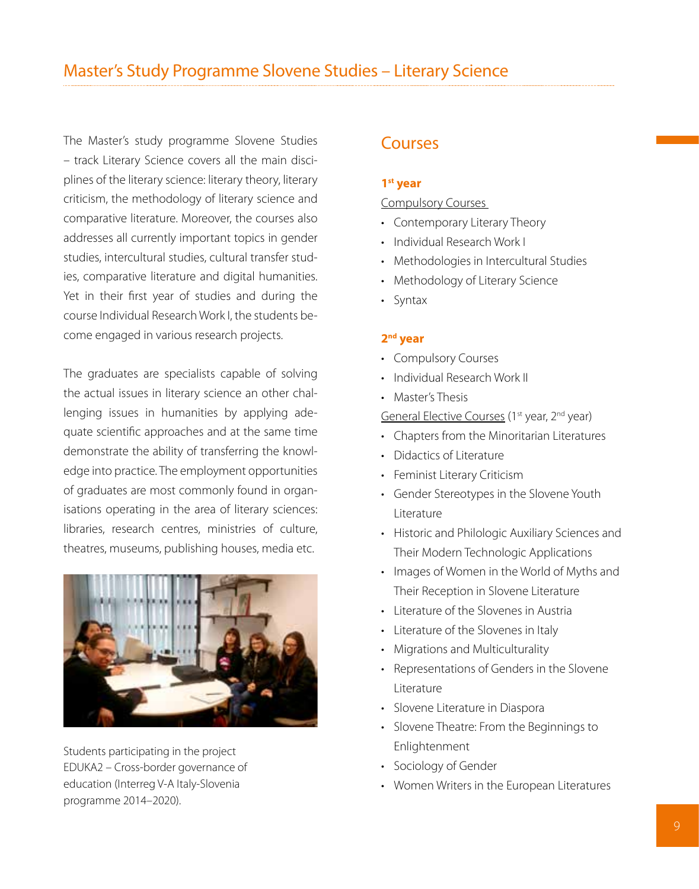The Master's study programme Slovene Studies – track Literary Science covers all the main disciplines of the literary science: literary theory, literary criticism, the methodology of literary science and comparative literature. Moreover, the courses also addresses all currently important topics in gender studies, intercultural studies, cultural transfer studies, comparative literature and digital humanities. Yet in their first year of studies and during the course Individual Research Work I, the students become engaged in various research projects.

The graduates are specialists capable of solving the actual issues in literary science an other challenging issues in humanities by applying adequate scientific approaches and at the same time demonstrate the ability of transferring the knowledge into practice. The employment opportunities of graduates are most commonly found in organisations operating in the area of literary sciences: libraries, research centres, ministries of culture, theatres, museums, publishing houses, media etc.



Students participating in the project EDUKA2 – Cross-border governance of education (Interreg V-A Italy-Slovenia programme 2014–2020).

# Courses

#### **1st year**

Compulsory Courses

- Contemporary Literary Theory
- • Individual Research Work I
- Methodologies in Intercultural Studies
- Methodology of Literary Science
- • Syntax

#### **2nd year**

- Compulsory Courses
- • Individual Research Work II
- • Master's Thesis

General Elective Courses (1<sup>st</sup> year, 2<sup>nd</sup> year)

- Chapters from the Minoritarian Literatures
- • Didactics of Literature
- Feminist Literary Criticism
- • Gender Stereotypes in the Slovene Youth Literature
- • Historic and Philologic Auxiliary Sciences and Their Modern Technologic Applications
- Images of Women in the World of Myths and Their Reception in Slovene Literature
- • Literature of the Slovenes in Austria
- • Literature of the Slovenes in Italy
- Migrations and Multiculturality
- • Representations of Genders in the Slovene Literature
- • Slovene Literature in Diaspora
- • Slovene Theatre: From the Beginnings to Enlightenment
- • Sociology of Gender
- • Women Writers in the European Literatures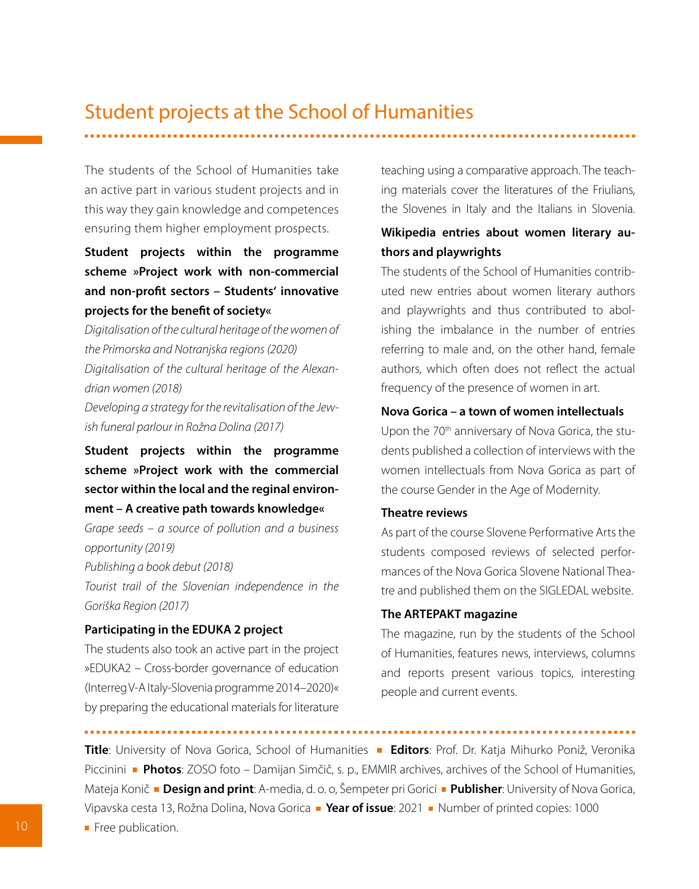# Student projects at the School of Humanities

The students of the School of Humanities take an active part in various student projects and in this way they gain knowledge and competences ensuring them higher employment prospects.

**Student projects within the programme scheme »Project work with non-commercial and non-profit sectors – Students' innovative projects for the benefit of society«** 

*Digitalisation of the cultural heritage of the women of the Primorska and Notranjska regions (2020) Digitalisation of the cultural heritage of the Alexandrian women (2018)*

*Developing a strategy for the revitalisation of the Jewish funeral parlour in Rožna Dolina (2017)*

**Student projects within the programme scheme »Project work with the commercial sector within the local and the reginal environment – A creative path towards knowledge«** 

*Grape seeds – a source of pollution and a business opportunity (2019) Publishing a book debut (2018)* 

*Tourist trail of the Slovenian independence in the Goriška Region (2017)*

#### **Participating in the EDUKA 2 project**

The students also took an active part in the project »EDUKA2 – Cross-border governance of education (Interreg V-A Italy-Slovenia programme 2014–2020)« by preparing the educational materials for literature teaching using a comparative approach. The teaching materials cover the literatures of the Friulians, the Slovenes in Italy and the Italians in Slovenia.

# **Wikipedia entries about women literary authors and playwrights**

The students of the School of Humanities contributed new entries about women literary authors and playwrights and thus contributed to abolishing the imbalance in the number of entries referring to male and, on the other hand, female authors, which often does not reflect the actual frequency of the presence of women in art.

# **Nova Gorica – a town of women intellectuals**

Upon the 70<sup>th</sup> anniversary of Nova Gorica, the students published a collection of interviews with the women intellectuals from Nova Gorica as part of the course Gender in the Age of Modernity.

#### **Theatre reviews**

As part of the course Slovene Performative Arts the students composed reviews of selected performances of the Nova Gorica Slovene National Theatre and published them on the SIGLEDAL website.

#### **The ARTEPAKT magazine**

The magazine, run by the students of the School of Humanities, features news, interviews, columns and reports present various topics, interesting people and current events.

**Title**: University of Nova Gorica, School of Humanities **Editors**: Prof. Dr. Katja Mihurko Poniž, Veronika Piccinini **Photos**: ZOSO foto – Damijan Simčič, s. p., EMMIR archives, archives of the School of Humanities, Mateja Konič **Design and print**: A-media, d. o. o, Šempeter pri Gorici **Publisher**: University of Nova Gorica, Vipavska cesta 13, Rožna Dolina, Nova Gorica **·· Year of issue**: 2021 **·** Number of printed copies: 1000

Free publication.